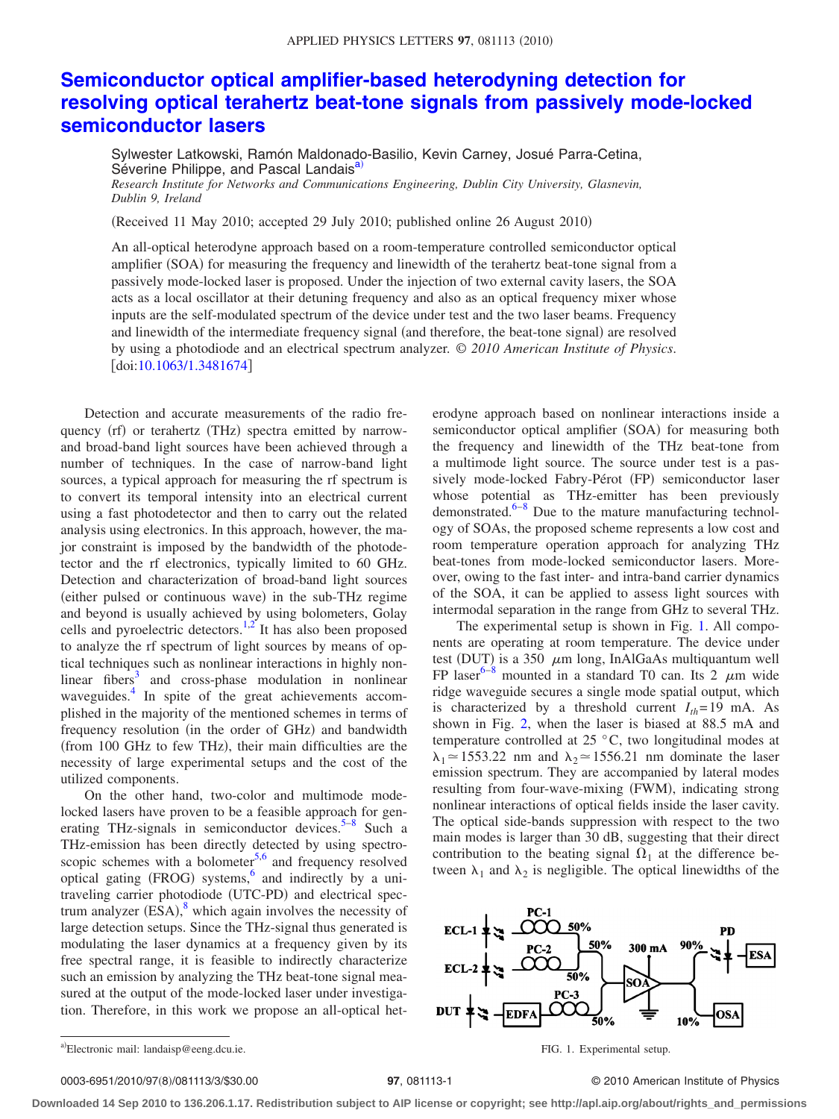## **[Semiconductor optical amplifier-based heterodyning detection for](http://dx.doi.org/10.1063/1.3481674) [resolving optical terahertz beat-tone signals from passively mode-locked](http://dx.doi.org/10.1063/1.3481674) [semiconductor lasers](http://dx.doi.org/10.1063/1.3481674)**

Sylwester Latkowski, Ramón Maldonado-Basilio, Kevin Carney, Josué Parra-Cetina, Séverine Philippe, and Pascal Landais<sup>a)</sup>

*Research Institute for Networks and Communications Engineering, Dublin City University, Glasnevin, Dublin 9, Ireland*

(Received 11 May 2010; accepted 29 July 2010; published online 26 August 2010)

An all-optical heterodyne approach based on a room-temperature controlled semiconductor optical amplifier (SOA) for measuring the frequency and linewidth of the terahertz beat-tone signal from a passively mode-locked laser is proposed. Under the injection of two external cavity lasers, the SOA acts as a local oscillator at their detuning frequency and also as an optical frequency mixer whose inputs are the self-modulated spectrum of the device under test and the two laser beams. Frequency and linewidth of the intermediate frequency signal (and therefore, the beat-tone signal) are resolved by using a photodiode and an electrical spectrum analyzer. © *2010 American Institute of Physics*. doi[:10.1063/1.3481674](http://dx.doi.org/10.1063/1.3481674)

Detection and accurate measurements of the radio frequency (rf) or terahertz (THz) spectra emitted by narrowand broad-band light sources have been achieved through a number of techniques. In the case of narrow-band light sources, a typical approach for measuring the rf spectrum is to convert its temporal intensity into an electrical current using a fast photodetector and then to carry out the related analysis using electronics. In this approach, however, the major constraint is imposed by the bandwidth of the photodetector and the rf electronics, typically limited to 60 GHz. Detection and characterization of broad-band light sources (either pulsed or continuous wave) in the sub-THz regime and beyond is usually achieved by using bolometers, Golay cells and pyroelectric detectors.<sup>1[,2](#page-2-1)</sup> It has also been proposed to analyze the rf spectrum of light sources by means of optical techniques such as nonlinear interactions in highly nonlinear fibers $3$  and cross-phase modulation in nonlinear waveguides.<sup>4</sup> In spite of the great achievements accomplished in the majority of the mentioned schemes in terms of frequency resolution (in the order of GHz) and bandwidth (from 100 GHz to few THz), their main difficulties are the necessity of large experimental setups and the cost of the utilized components.

On the other hand, two-color and multimode modelocked lasers have proven to be a feasible approach for generating THz-signals in semiconductor devices. $5-8$  $5-8$  Such a THz-emission has been directly detected by using spectroscopic schemes with a bolometer $5.6$  $5.6$  and frequency resolved optical gating (FROG) systems,<sup>6</sup> and indirectly by a unitraveling carrier photodiode (UTC-PD) and electrical spectrum analyzer  $(ESA)$ ,<sup>[8](#page-2-5)</sup> which again involves the necessity of large detection setups. Since the THz-signal thus generated is modulating the laser dynamics at a frequency given by its free spectral range, it is feasible to indirectly characterize such an emission by analyzing the THz beat-tone signal measured at the output of the mode-locked laser under investigation. Therefore, in this work we propose an all-optical heterodyne approach based on nonlinear interactions inside a semiconductor optical amplifier (SOA) for measuring both the frequency and linewidth of the THz beat-tone from a multimode light source. The source under test is a passively mode-locked Fabry-Pérot (FP) semiconductor laser whose potential as THz-emitter has been previously demonstrated. $6-8$  Due to the mature manufacturing technology of SOAs, the proposed scheme represents a low cost and room temperature operation approach for analyzing THz beat-tones from mode-locked semiconductor lasers. Moreover, owing to the fast inter- and intra-band carrier dynamics of the SOA, it can be applied to assess light sources with intermodal separation in the range from GHz to several THz.

The experimental setup is shown in Fig. [1.](#page-0-1) All components are operating at room temperature. The device under test (DUT) is a 350  $\mu$ m long, InAlGaAs multiquantum well FP laser<sup>6-[8](#page-2-5)</sup> mounted in a standard T0 can. Its 2  $\mu$ m wide ridge waveguide secures a single mode spatial output, which is characterized by a threshold current  $I_{th}$ =19 mA. As shown in Fig. [2,](#page-1-0) when the laser is biased at 88.5 mA and temperature controlled at 25 °C, two longitudinal modes at  $\lambda_1 \approx 1553.22$  nm and  $\lambda_2 \approx 1556.21$  nm dominate the laser emission spectrum. They are accompanied by lateral modes resulting from four-wave-mixing (FWM), indicating strong nonlinear interactions of optical fields inside the laser cavity. The optical side-bands suppression with respect to the two main modes is larger than 30 dB, suggesting that their direct contribution to the beating signal  $\Omega_1$  at the difference between  $\lambda_1$  and  $\lambda_2$  is negligible. The optical linewidths of the

<span id="page-0-1"></span>

<span id="page-0-0"></span>a) Electronic mail: landaisp@eeng.dcu.ie. FIG. 1. Experimental setup.

## 0003-6951/2010/97(8)/081113/3/\$30.00

## /081113/3/\$30.00 © 2010 American Institute of Physics **97**, 081113-1

**Downloaded 14 Sep 2010 to 136.206.1.17. Redistribution subject to AIP license or copyright; see http://apl.aip.org/about/rights\_and\_permissions**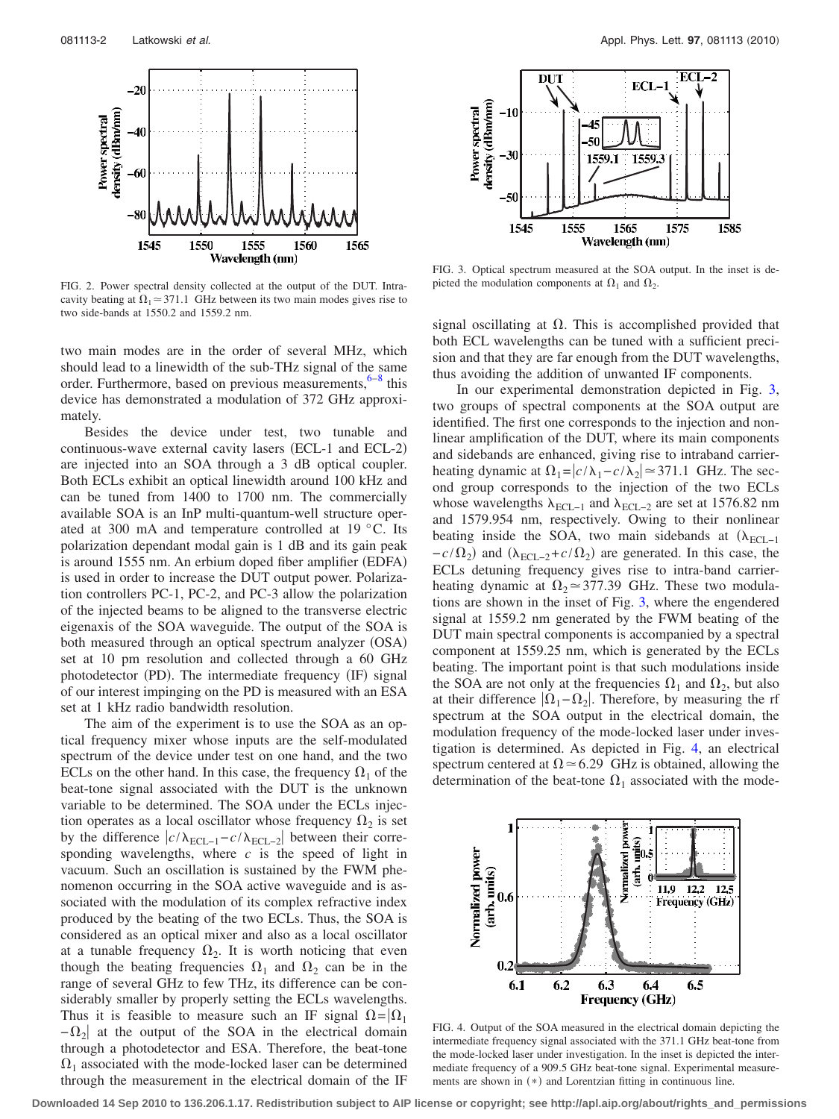<span id="page-1-0"></span>

FIG. 2. Power spectral density collected at the output of the DUT. Intracavity beating at  $\Omega_1 \approx 371.1$  GHz between its two main modes gives rise to two side-bands at 1550.2 and 1559.2 nm.

two main modes are in the order of several MHz, which should lead to a linewidth of the sub-THz signal of the same order. Furthermore, based on previous measurements,  $6-8$  this device has demonstrated a modulation of 372 GHz approximately.

Besides the device under test, two tunable and continuous-wave external cavity lasers (ECL-1 and ECL-2) are injected into an SOA through a 3 dB optical coupler. Both ECLs exhibit an optical linewidth around 100 kHz and can be tuned from 1400 to 1700 nm. The commercially available SOA is an InP multi-quantum-well structure operated at 300 mA and temperature controlled at 19 °C. Its polarization dependant modal gain is 1 dB and its gain peak is around 1555 nm. An erbium doped fiber amplifier (EDFA) is used in order to increase the DUT output power. Polarization controllers PC-1, PC-2, and PC-3 allow the polarization of the injected beams to be aligned to the transverse electric eigenaxis of the SOA waveguide. The output of the SOA is both measured through an optical spectrum analyzer (OSA) set at 10 pm resolution and collected through a 60 GHz photodetector (PD). The intermediate frequency (IF) signal of our interest impinging on the PD is measured with an ESA set at 1 kHz radio bandwidth resolution.

The aim of the experiment is to use the SOA as an optical frequency mixer whose inputs are the self-modulated spectrum of the device under test on one hand, and the two ECLs on the other hand. In this case, the frequency  $\Omega_1$  of the beat-tone signal associated with the DUT is the unknown variable to be determined. The SOA under the ECLs injection operates as a local oscillator whose frequency  $\Omega_2$  is set by the difference  $c/\lambda_{\text{ECL}-1}-c/\lambda_{\text{ECL}-2}$  between their corresponding wavelengths, where *c* is the speed of light in vacuum. Such an oscillation is sustained by the FWM phenomenon occurring in the SOA active waveguide and is associated with the modulation of its complex refractive index produced by the beating of the two ECLs. Thus, the SOA is considered as an optical mixer and also as a local oscillator at a tunable frequency  $\Omega_2$ . It is worth noticing that even though the beating frequencies  $\Omega_1$  and  $\Omega_2$  can be in the range of several GHz to few THz, its difference can be considerably smaller by properly setting the ECLs wavelengths. Thus it is feasible to measure such an IF signal  $\Omega = |\Omega_1|$  $-\Omega_2$  at the output of the SOA in the electrical domain through a photodetector and ESA. Therefore, the beat-tone  $\Omega_1$  associated with the mode-locked laser can be determined through the measurement in the electrical domain of the IF

<span id="page-1-1"></span>

FIG. 3. Optical spectrum measured at the SOA output. In the inset is depicted the modulation components at  $\Omega_1$  and  $\Omega_2$ .

signal oscillating at  $\Omega$ . This is accomplished provided that both ECL wavelengths can be tuned with a sufficient precision and that they are far enough from the DUT wavelengths, thus avoiding the addition of unwanted IF components.

In our experimental demonstration depicted in Fig. [3,](#page-1-1) two groups of spectral components at the SOA output are identified. The first one corresponds to the injection and nonlinear amplification of the DUT, where its main components and sidebands are enhanced, giving rise to intraband carrierheating dynamic at  $\Omega_1 = |c/\lambda_1 - c/\lambda_2| \approx 371.1$  GHz. The second group corresponds to the injection of the two ECLs whose wavelengths  $\lambda_{\text{ECL-1}}$  and  $\lambda_{\text{ECL-2}}$  are set at 1576.82 nm and 1579.954 nm, respectively. Owing to their nonlinear beating inside the SOA, two main sidebands at  $(\lambda_{ECL-1})$  $-c/\Omega_2$ ) and  $(\lambda_{\text{ECL}-2}+c/\Omega_2)$  are generated. In this case, the ECLs detuning frequency gives rise to intra-band carrierheating dynamic at  $\Omega_2 \approx 377.39$  GHz. These two modulations are shown in the inset of Fig. [3,](#page-1-1) where the engendered signal at 1559.2 nm generated by the FWM beating of the DUT main spectral components is accompanied by a spectral component at 1559.25 nm, which is generated by the ECLs beating. The important point is that such modulations inside the SOA are not only at the frequencies  $\Omega_1$  and  $\Omega_2$ , but also at their difference  $|\Omega_1-\Omega_2|$ . Therefore, by measuring the rf spectrum at the SOA output in the electrical domain, the modulation frequency of the mode-locked laser under investigation is determined. As depicted in Fig. [4,](#page-1-2) an electrical spectrum centered at  $\Omega \approx 6.29$  GHz is obtained, allowing the determination of the beat-tone  $\Omega_1$  associated with the mode-

<span id="page-1-2"></span>

FIG. 4. Output of the SOA measured in the electrical domain depicting the intermediate frequency signal associated with the 371.1 GHz beat-tone from the mode-locked laser under investigation. In the inset is depicted the intermediate frequency of a 909.5 GHz beat-tone signal. Experimental measurements are shown in (\*) and Lorentzian fitting in continuous line.

**Downloaded 14 Sep 2010 to 136.206.1.17. Redistribution subject to AIP license or copyright; see http://apl.aip.org/about/rights\_and\_permissions**